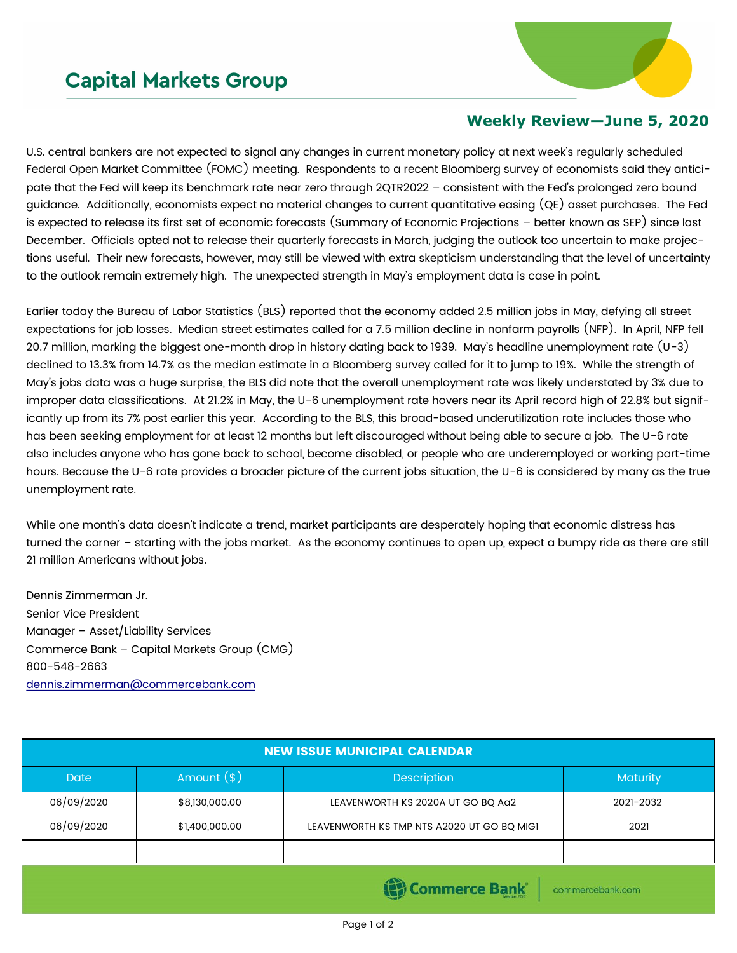## **Capital Markets Group**



## **Weekly Review—June 5, 2020**

U.S. central bankers are not expected to signal any changes in current monetary policy at next week's regularly scheduled Federal Open Market Committee (FOMC) meeting. Respondents to a recent Bloomberg survey of economists said they anticipate that the Fed will keep its benchmark rate near zero through 2QTR2022 – consistent with the Fed's prolonged zero bound guidance. Additionally, economists expect no material changes to current quantitative easing (QE) asset purchases. The Fed is expected to release its first set of economic forecasts (Summary of Economic Projections – better known as SEP) since last December. Officials opted not to release their quarterly forecasts in March, judging the outlook too uncertain to make projections useful. Their new forecasts, however, may still be viewed with extra skepticism understanding that the level of uncertainty to the outlook remain extremely high. The unexpected strength in May's employment data is case in point.

Earlier today the Bureau of Labor Statistics (BLS) reported that the economy added 2.5 million jobs in May, defying all street expectations for job losses. Median street estimates called for a 7.5 million decline in nonfarm payrolls (NFP). In April, NFP fell 20.7 million, marking the biggest one-month drop in history dating back to 1939. May's headline unemployment rate  $(U-3)$ declined to 13.3% from 14.7% as the median estimate in a Bloomberg survey called for it to jump to 19%. While the strength of May's jobs data was a huge surprise, the BLS did note that the overall unemployment rate was likely understated by 3% due to improper data classifications. At 21.2% in May, the U-6 unemployment rate hovers near its April record high of 22.8% but significantly up from its 7% post earlier this year. According to the BLS, this broad-based underutilization rate includes those who has been seeking employment for at least 12 months but left discouraged without being able to secure a job. The U-6 rate also includes anyone who has gone back to school, become disabled, or people who are underemployed or working part-time hours. Because the U-6 rate provides a broader picture of the current jobs situation, the U-6 is considered by many as the true unemployment rate.

While one month's data doesn't indicate a trend, market participants are desperately hoping that economic distress has turned the corner – starting with the jobs market. As the economy continues to open up, expect a bumpy ride as there are still 21 million Americans without jobs.

Dennis Zimmerman Jr. Senior Vice President Manager – Asset/Liability Services Commerce Bank – Capital Markets Group (CMG) 800-548-2663 [dennis.zimmerman@commercebank.com](mailto:Dennis.Zimmerman@commercebank.com)

| <b>NEW ISSUE MUNICIPAL CALENDAR</b>          |                |                                            |           |  |  |  |
|----------------------------------------------|----------------|--------------------------------------------|-----------|--|--|--|
| <b>Date</b>                                  | Amount $(*)$   | Description                                | Maturity  |  |  |  |
| 06/09/2020                                   | \$8,130,000.00 | LEAVENWORTH KS 2020A UT GO BQ Aa2          | 2021-2032 |  |  |  |
| 06/09/2020                                   | \$1,400,000.00 | LEAVENWORTH KS TMP NTS A2020 UT GO BQ MIGI | 2021      |  |  |  |
|                                              |                |                                            |           |  |  |  |
| <b>(B)</b> Commerce Bank<br>commercebank.com |                |                                            |           |  |  |  |